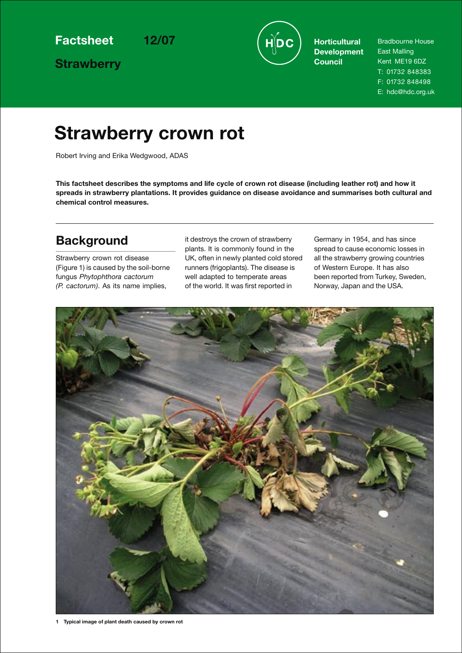**Strawberry**



**Development Council**

Bradbourne House East Malling Kent ME19 6DZ T: 01732 848383 F: 01732 848498 E: hdc@hdc.org.uk

## **Strawberry crown rot**

Robert Irving and Erika Wedgwood, ADAS

**This factsheet describes the symptoms and life cycle of crown rot disease (including leather rot) and how it spreads in strawberry plantations. It provides guidance on disease avoidance and summarises both cultural and chemical control measures.** 

## **Background**

Strawberry crown rot disease (Figure 1) is caused by the soil-borne fungus *Phytophthora cactorum (P. cactorum)*. As its name implies,

it destroys the crown of strawberry plants. It is commonly found in the UK, often in newly planted cold stored runners (frigoplants). The disease is well adapted to temperate areas of the world. It was first reported in

Germany in 1954, and has since spread to cause economic losses in all the strawberry growing countries of Western Europe. It has also been reported from Turkey, Sweden, Norway, Japan and the USA.

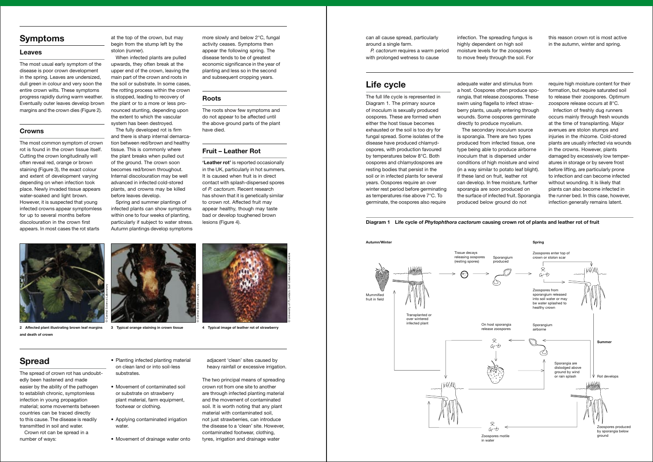## **Symptoms**

#### **Leaves**

The most usual early symptom of the disease is poor crown development in the spring. Leaves are undersized, dull green in colour and very soon the entire crown wilts. These symptoms progress rapidly during warm weather. Eventually outer leaves develop brown margins and the crown dies (Figure 2).

#### **Crowns**

The most common symptom of crown rot is found in the crown tissue itself. Cutting the crown longitudinally will often reveal red, orange or brown staining (Figure 3), the exact colour and extent of development varying depending on when infection took place. Newly invaded tissue appears water-soaked and light brown. However, it is suspected that young infected crowns appear symptomless for up to several months before discolouration in the crown first appears. In most cases the rot starts

at the top of the crown, but may begin from the stump left by the stolon (runner).

When infected plants are pulled upwards, they often break at the upper end of the crown, leaving the main part of the crown and roots in the soil or substrate. In some cases, the rotting process within the crown is stopped, leading to recovery of the plant or to a more or less pronounced stunting, depending upon the extent to which the vascular system has been destroyed.

The fully developed rot is firm and there is sharp internal demarcation between red/brown and healthy tissue. This is commonly where the plant breaks when pulled out of the ground. The crown soon becomes red/brown throughout. Internal discolouration may be well advanced in infected cold-stored plants, and crowns may be killed before leaves develop.

Spring and summer plantings of infected plants can show symptoms within one to four weeks of planting, particularly if subject to water stress. Autumn plantings develop symptoms more slowly and below 2°C, fungal activity ceases. Symptoms then appear the following spring. The disease tends to be of greatest economic significance in the year of planting and less so in the second and subsequent cropping years.

#### **Roots**

The roots show few symptoms and do not appear to be affected until the above ground parts of the plant have died.

#### **Fruit – Leather Rot**

**'Leather rot'** is reported occasionally in the UK, particularly in hot summers. It is caused when fruit is in direct contact with splash-dispersed spores of *P. cactorum*. Recent research has shown that it is genetically similar to crown rot. Affected fruit may appear healthy, though may taste bad or develop toughened brown lesions (Figure 4).

**2 Affected plant illustrating brown leaf margins and death of crown**



**3 Typical orange staining in crown tissue 4 Typical image of leather rot of strawberry**

## **Spread**

The spread of crown rot has undoubtedly been hastened and made easier by the ability of the pathogen to establish chronic, symptomless infection in young propagation material; some movements between countries can be traced directly to this cause. The disease is readily transmitted in soil and water.

Crown rot can be spread in a number of ways:

- Planting infected planting material on clean land or into soil-less substrates.
- Movement of contaminated soil or substrate on strawberry plant material, farm equipment, footwear or clothing.
- Applying contaminated irrigation water.
- Movement of drainage water onto

adjacent 'clean' sites caused by heavy rainfall or excessive irrigation.

The two principal means of spreading crown rot from one site to another are through infected planting material and the movement of contaminated soil. It is worth noting that any plant material with contaminated soil, not just strawberries, can introduce the disease to a 'clean' site. However, contaminated footwear, clothing, tyres, irrigation and drainage water

## **Life cycle**

The full life cycle is represented in Diagram 1. The primary source of inoculum is sexually produced oospores. These are formed when either the host tissue becomes exhausted or the soil is too dry for fungal spread. Some isolates of the disease have produced chlamydospores, with production favoured by temperatures below 8°C. Both oospores and chlamydospores are resting bodies that persist in the soil or in infected plants for several years. Oospores require an over winter rest period before germinating as temperatures rise above 7°C. To germinate, the oospores also require

adequate water and stimulus from a host. Oospores often produce sporangia, that release zoospores. These swim using flagella to infect strawberry plants, usually entering through wounds. Some oospores germinate directly to produce mycelium. The secondary inoculum source is sporangia. There are two types produced from infected tissue, one type being able to produce airborne inoculum that is dispersed under conditions of high moisture and wind (in a way similar to potato leaf blight). If these land on fruit, leather rot can develop. In free moisture, further sporangia are soon produced on the surface of infected fruit. Sporangia produced below ground do not

require high moisture content for their formation, but require saturated soil to release their zoospores. Optimum zoospore release occurs at 8°C.

Infection of freshly dug runners occurs mainly through fresh wounds at the time of transplanting. Major avenues are stolon stumps and injuries in the rhizome. Cold-stored plants are usually infected via wounds in the crowns. However, plants damaged by excessively low temperatures in storage or by severe frost before lifting, are particularly prone to infection and can become infected without wounding. It is likely that plants can also become infected in the runner bed. In this case, however, infection generally remains latent.





can all cause spread, particularly around a single farm.

*P. cactorum* requires a warm period with prolonged wetness to cause

infection. The spreading fungus is highly dependent on high soil moisture levels for the zoospores to move freely through the soil. For

this reason crown rot is most active in the autumn, winter and spring.



© Central Science Laboratory

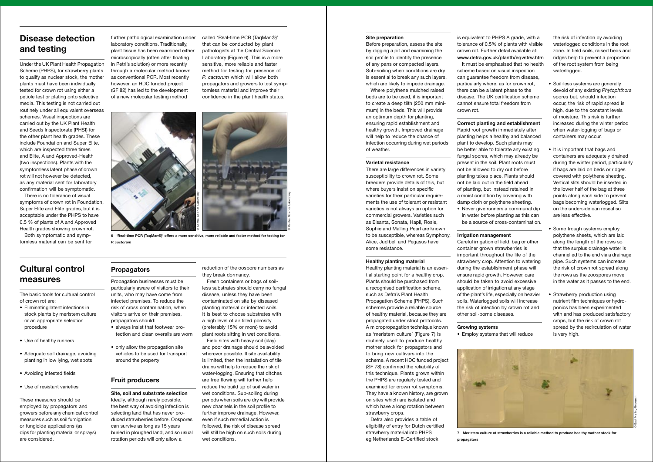## **Disease detection and testing**

Under the UK Plant Health Propagation Scheme (PHPS), for strawberry plants to qualify as nuclear stock, the mother plants must have been individually tested for crown rot using either a petiole test or plating onto selective media. This testing is not carried out routinely under all equivalent overseas schemes. Visual inspections are carried out by the UK Plant Health and Seeds Inspectorate (PHSI) for the other plant health grades. These include Foundation and Super Elite, which are inspected three times and Elite, A and Approved-Health (two inspections). Plants with the symptomless latent phase of crown rot will not however be detected, as any material sent for laboratory confirmation will be symptomatic.

There is no tolerance of visual symptoms of crown rot in Foundation, Super Elite and Elite grades, but it is acceptable under the PHPS to have 0.5 % of plants of A and Approved Health grades showing crown rot.

Both symptomatic and symptomless material can be sent for further pathological examination under laboratory conditions. Traditionally, plant tissue has been examined either microscopically (often after floating in Petri's solution) or more recently through a molecular method known as conventional PCR. Most recently however, an HDC funded project (SF 82) has led to the development of a new molecular testing method

called 'Real-time PCR (TaqMan®)' that can be conducted by plant pathologists at the Central Science Laboratory (Figure 6). This is a more sensitive, more reliable and faster method for testing for presence of *P. cactorum* which will allow both propagators and growers to test symptomless material and improve their confidence in the plant health status.

## **Cultural control measures**

The basic tools for cultural control of crown rot are:

- Eliminating latent infections in stock plants by meristem culture or an appropriate selection procedure
- Use of healthy runners
- Adequate soil drainage, avoiding planting in low lying, wet spots
- Avoiding infested fields
- Use of resistant varieties

These measures should be employed by propagators and growers before any chemical control measures such as soil fumigation or fungicide applications (as dips for planting material or sprays) are considered.

## **Propagators**

Propagation businesses must be particularly aware of visitors to their units, who may have come from infected premises. To reduce the risk of cross contamination, when visitors arrive on their premises, propagators should:

Healthy planting material is an essential starting point for a healthy crop. Plants should be purchased from a recognised certification scheme, such as Defra's Plant Health Propagation Scheme (PHPS). Such schemes provide a reliable source of healthy material, because they are propagated under strict protocols. A micropropagation technique known as 'meristem culture' (Figure 7) is routinely used to produce healthy mother stock for propagators and to bring new cultivars into the scheme. A recent HDC funded project (SF 78) confirmed the reliability of this technique. Plants grown within the PHPS are regularly tested and examined for crown rot symptoms. They have a known history, are grown on sites which are isolated and which have a long rotation between strawberry crops.

- always insist that footwear protection and clean overalls are worn
- only allow the propagation site vehicles to be used for transport around the property

## **Fruit producers**

**Site, soil and substrate selection** Ideally, although rarely possible, the best way of avoiding infection is selecting land that has never produced strawberries before. Oospores can survive as long as 15 years buried in ploughed land, and so usual rotation periods will only allow a

reduction of the oospore numbers as they break dormancy.

Fresh containers or bags of soilless substrates should carry no fungal disease, unless they have been contaminated on site by diseased planting material or infected soils. It is best to choose substrates with a high level of air filled porosity (preferably 15% or more) to avoid plant roots sitting in wet conditions.

Field sites with heavy soil (clay) and poor drainage should be avoided wherever possible. If site availability is limited, then the installation of tile drains will help to reduce the risk of water-logging. Ensuring that ditches are free flowing will further help reduce the build up of soil water in wet conditions. Sub-soiling during periods when soils are dry will provide new channels in the soil profile to further improve drainage. However, even if such remedial action is followed, the risk of disease spread will still be high on such soils during wet conditions.

- Soil-less systems are generally devoid of any existing *Phytophthora* spores but, should infection occur, the risk of rapid spread is high, due to the constant levels of moisture. This risk is further increased during the winter period when water-logging of bags or containers may occur.
- It is important that bags and containers are adequately drained during the winter period, particularly if bags are laid on beds or ridges covered with polythene sheeting. Vertical slits should be inserted in the lower half of the bag at three points along each side to prevent bags becoming waterlogged. Slits on the underside can reseal so are less effective.
- Some trough systems employ polythene sheets, which are laid along the length of the rows so that the surplus drainage water is channelled to the end via a drainage pipe. Such systems can increase the risk of crown rot spread along the rows as the zoospores move in the water as it passes to the end.
- Strawberry production using nutrient film techniques or hydroponics has been experimented with and has produced satisfactory crops, but the risk of crown rot spread by the recirculation of water is very high.

#### **Site preparation**

Before preparation, assess the site by digging a pit and examining the soil profile to identify the presence of any pans or compacted layers. Sub-soiling when conditions are dry is essential to break any such layers, which are likely to impede drainage.

Where polythene mulched raised beds are to be used, it is important to create a deep tilth (250 mm minimum) in the beds. This will provide an optimum depth for planting, ensuring rapid establishment and healthy growth. Improved drainage will help to reduce the chance of infection occurring during wet periods of weather.

#### **Varietal resistance**

There are large differences in variety susceptibility to crown rot. Some breeders provide details of this, but where buyers insist on specific varieties for their particular requirements the use of tolerant or resistant varieties is not always an option for commercial growers. Varieties such as Elsanta, Sonata, Hapil, Rosie, Sophie and Malling Pearl are known to be susceptible, whereas Symphony, Alice, Judibell and Pegasus have some resistance.

#### **Healthy planting material**



**6 'Real-time PCR (TaqMan®)' offers a more sensitive, more reliable and faster method for testing for**  *P. cactorum*

Defra also provides a table of eligibility of entry for Dutch certified strawberry material into PHPS eg Netherlands E–Certified stock

is equivalent to PHPS A grade, with a tolerance of 0.5% of plants with visible crown rot. Further detail available at: www.defra.gov.uk/planth/eqvstrw.htm It must be emphasised that no health scheme based on visual inspection can guarantee freedom from disease, particularly where, as for crown rot, there can be a latent phase to the disease. The UK certification scheme cannot ensure total freedom from

crown rot.

## **Correct planting and establishment**

Rapid root growth immediately after planting helps a healthy and balanced plant to develop. Such plants may be better able to tolerate any existing fungal spores, which may already be present in the soil. Plant roots must not be allowed to dry out before planting takes place. Plants should not be laid out in the field ahead of planting, but instead retained in a moist condition by covering with damp cloth or polythene sheeting. • Never give runners a communal dip in water before planting as this can be a source of cross-contamination.

#### **Irrigation management**

Careful irrigation of field, bag or other container grown strawberries is important throughout the life of the strawberry crop. Attention to watering during the establishment phase will ensure rapid growth. However, care should be taken to avoid excessive application of irrigation at any stage of the plant's life, especially on heavier soils. Waterlogged soils will increase the risk of infection by crown rot and other soil-borne diseases.

## **Growing systems**

• Employ systems that will reduce

the risk of infection by avoiding waterlogged conditions in the root zone. In field soils, raised beds and ridges help to prevent a proportion of the root system from being waterlogged.



**propagators**

© Central Science Laboratory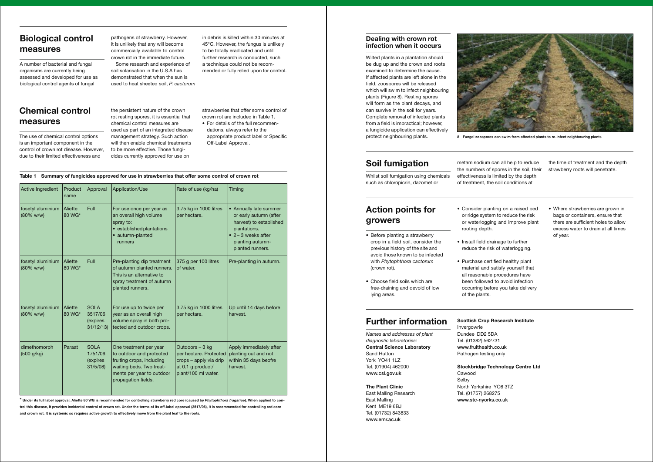## **Biological control measures**

A number of bacterial and fungal organisms are currently being assessed and developed for use as biological control agents of fungal

pathogens of strawberry. However, it is unlikely that any will become commercially available to control crown rot in the immediate future. Some research and experience of soil solarisation in the U.S.A has

demonstrated that when the sun is used to heat sheeted soil, *P. cactorum*

in debris is killed within 30 minutes at 45°C. However, the fungus is unlikely to be totally eradicated and until further research is conducted, such a technique could not be recommended or fully relied upon for control.

## **Chemical control measures**

The use of chemical control options is an important component in the control of crown rot disease. However, due to their limited effectiveness and

the persistent nature of the crown rot resting spores, it is essential that chemical control measures are used as part of an integrated disease management strategy. Such action will then enable chemical treatments to be more effective. Those fungicides currently approved for use on

strawberries that offer some control of crown rot are included in Table 1.

• For details of the full recommendations, always refer to the appropriate product label or Specific Off-Label Approval.

#### **Dealing with crown rot infection when it occurs**

Wilted plants in a plantation should be dug up and the crown and roots examined to determine the cause. If affected plants are left alone in the field, zoospores will be released which will swim to infect neighbouring plants (Figure 8). Resting spores will form as the plant decays, and can survive in the soil for years. Complete removal of infected plants from a field is impractical; however, a fungicide application can effectively



protect neighbouring plants. **8 Fungal zoospores can swim from affected plants to re-infect neighbouring plants**

## **Soil fumigation**

Whilst soil fumigation using chemicals such as chloropicrin, dazomet or

## **Action points for growers**

- Before planting a strawberry crop in a field soil, consider the previous history of the site and avoid those known to be infected with *Phytophthora cactorum* (crown rot).
- Choose field soils which are free-draining and devoid of low lying areas.

metam sodium can all help to reduce the numbers of spores in the soil, their effectiveness is limited by the depth of treatment, the soil conditions at the time of treatment and the depth strawberry roots will penetrate. • Consider planting on a raised bed or ridge system to reduce the risk or waterlogging and improve plant • Install field drainage to further reduce the risk of waterlogging. • Where strawberries are grown in bags or containers, ensure that there are sufficient holes to allow excess water to drain at all times of year.

# rooting depth.

- 
- Purchase certified healthy plant of the plants.

material and satisfy yourself that all reasonable procedures have been followed to avoid infection occurring before you take delivery

## **Further information**

*Names and addresses of plant diagnostic laboratories:* **Central Science Laboratory** Sand Hutton York YO41 1LZ Tel. (01904) 462000 www.csl.gov.uk

**The Plant Clinic** East Malling Research East Malling Kent ME19 6BJ Tel. (01732) 843833 www.emr.ac.uk

#### **Scottish Crop Research Institute**

Invergowrie Dundee DD2 5DA Tel. (01382) 562731 www.fruithealth.co.uk Pathogen testing only

#### **Stockbridge Technology Centre Ltd**

Cawood Selby North Yorkshire YO8 3TZ Tel. (01757) 268275 www.stc-nyorks.co.uk

#### **Table 1 Summary of fungicides approved for use in strawberries that offer some control of crown rot**

| Active Ingredient                         | Product<br>name          | Approval                                       | Application/Use                                                                                                                                                 | Rate of use (kg/ha)                                                                                             | Timing                                                                                                                                                             |
|-------------------------------------------|--------------------------|------------------------------------------------|-----------------------------------------------------------------------------------------------------------------------------------------------------------------|-----------------------------------------------------------------------------------------------------------------|--------------------------------------------------------------------------------------------------------------------------------------------------------------------|
| fosetyl aluminium<br>$(80\% \text{ w/w})$ | Aliette<br>80 WG*        | Full                                           | For use once per year as<br>an overall high volume<br>spray to:<br>• established plantations<br>• autumn-planted<br>runners                                     | 3.75 kg in 1000 litres<br>per hectare.                                                                          | • Annually late summer<br>or early autumn (after<br>harvest) to established<br>plantations.<br>$\bullet$ 2 – 3 weeks after<br>planting autumn-<br>planted runners. |
| fosetyl aluminium<br>(80% w/w)            | <b>Aliette</b><br>80 WG* | Full                                           | Pre-planting dip treatment<br>of autumn planted runners.<br>This is an alternative to<br>spray treatment of autumn<br>planted runners.                          | 375 g per 100 litres<br>of water.                                                                               | Pre-planting in autumn.                                                                                                                                            |
| fosetyl aluminium<br>$(80\% \text{ w/w})$ | Aliette<br>80 WG*        | <b>SOLA</b><br>3517/06<br>(expires<br>31/12/13 | For use up to twice per<br>year as an overall high<br>volume spray in both pro-<br>tected and outdoor crops.                                                    | 3.75 kg in 1000 litres<br>per hectare.                                                                          | Up until 14 days before<br>harvest.                                                                                                                                |
| dimethomorph<br>(500 g/kg)                | Paraat                   | <b>SOLA</b><br>1751/06<br>(expires<br>31/5/08  | One treatment per year<br>to outdoor and protected<br>fruiting crops, including<br>waiting beds. Two treat-<br>ments per year to outdoor<br>propagation fields. | Outdoors - 3 kg<br>per hectare. Protected<br>crops - apply via drip<br>at 0.1 g product/<br>plant/100 ml water. | Apply immediately after<br>planting out and not<br>within 35 days beofre<br>harvest.                                                                               |

\* **Under its full label approval, Aliette 80 WG is recommended for controlling strawberry red core (caused by** *Phytophthora fragariae***). When applied to control this disease, it provides incidental control of crown rot. Under the terms of its off-label approval (3517/06), it is recommended for controlling red core and crown rot. It is systemic so requires active growth to effectively move from the plant leaf to the roots.**